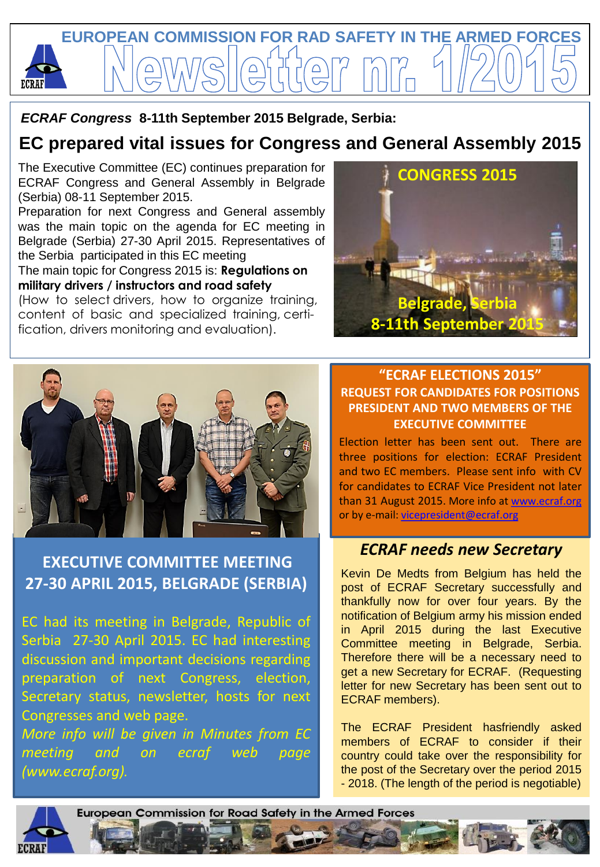

 *ECRAF Congress* **8-11th September 2015 Belgrade, Serbia:**

# **EC prepared vital issues for Congress and General Assembly 2015**

The Executive Committee (EC) continues preparation for ECRAF Congress and General Assembly in Belgrade (Serbia) 08-11 September 2015.

Preparation for next Congress and General assembly was the main topic on the agenda for EC meeting in Belgrade (Serbia) 27-30 April 2015. Representatives of the Serbia participated in this EC meeting

The main topic for Congress 2015 is: **Regulations on military drivers / instructors and road safety**

(How to select drivers, how to organize training, content of basic and specialized training, certification, drivers monitoring and evaluation).





## **EXECUTIVE COMMITTEE MEETING 27-30 APRIL 2015, BELGRADE (SERBIA)**

EC had its meeting in Belgrade, Republic of Serbia 27-30 April 2015. EC had interesting discussion and important decisions regarding preparation of next Congress, election, Secretary status, newsletter, hosts for next Congresses and web page.

*More info will be given in Minutes from EC meeting and on ecraf web page (www.ecraf.org).*

### **"ECRAF ELECTIONS 2015" REQUEST FOR CANDIDATES FOR POSITIONS PRESIDENT AND TWO MEMBERS OF THE EXECUTIVE COMMITTEE**

Election letter has been sent out. There are three positions for election: ECRAF President and two EC members. Please sent info with CV for candidates to ECRAF Vice President not later than 31 August 2015. More info at [www.ecraf.org](http://www.ecraf.org/)  or by e-mail: [vicepresident@ecraf.org](mailto:vicepresident@ecraf.org)

## *ECRAF needs new Secretary*

Kevin De Medts from Belgium has held the post of ECRAF Secretary successfully and thankfully now for over four years. By the notification of Belgium army his mission ended in April 2015 during the last Executive Committee meeting in Belgrade, Serbia. Therefore there will be a necessary need to get a new Secretary for ECRAF. (Requesting letter for new Secretary has been sent out to ECRAF members).

The ECRAF President hasfriendly asked members of ECRAF to consider if their country could take over the responsibility for the post of the Secretary over the period 2015 - 2018. (The length of the period is negotiable)

European Commission for Road Safety in the Armed Forces